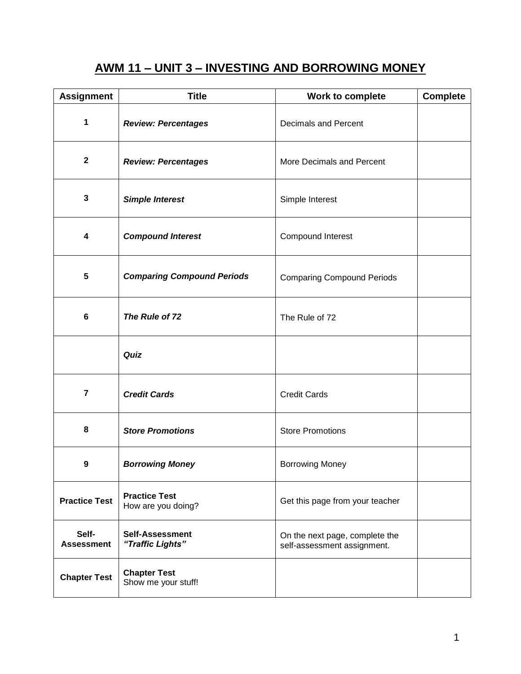# **AWM 11 – UNIT 3 – INVESTING AND BORROWING MONEY**

| <b>Assignment</b>          | <b>Title</b>                               | Work to complete                                              | <b>Complete</b> |
|----------------------------|--------------------------------------------|---------------------------------------------------------------|-----------------|
| 1                          | <b>Review: Percentages</b>                 | <b>Decimals and Percent</b>                                   |                 |
| $\mathbf{2}$               | <b>Review: Percentages</b>                 | More Decimals and Percent                                     |                 |
| 3                          | <b>Simple Interest</b>                     | Simple Interest                                               |                 |
| 4                          | <b>Compound Interest</b>                   | Compound Interest                                             |                 |
| 5                          | <b>Comparing Compound Periods</b>          | <b>Comparing Compound Periods</b>                             |                 |
| 6                          | The Rule of 72                             | The Rule of 72                                                |                 |
|                            | Quiz                                       |                                                               |                 |
| 7                          | <b>Credit Cards</b>                        | <b>Credit Cards</b>                                           |                 |
| 8                          | <b>Store Promotions</b>                    | <b>Store Promotions</b>                                       |                 |
| 9                          | <b>Borrowing Money</b>                     | <b>Borrowing Money</b>                                        |                 |
| <b>Practice Test</b>       | <b>Practice Test</b><br>How are you doing? | Get this page from your teacher                               |                 |
| Self-<br><b>Assessment</b> | <b>Self-Assessment</b><br>"Traffic Lights" | On the next page, complete the<br>self-assessment assignment. |                 |
| <b>Chapter Test</b>        | <b>Chapter Test</b><br>Show me your stuff! |                                                               |                 |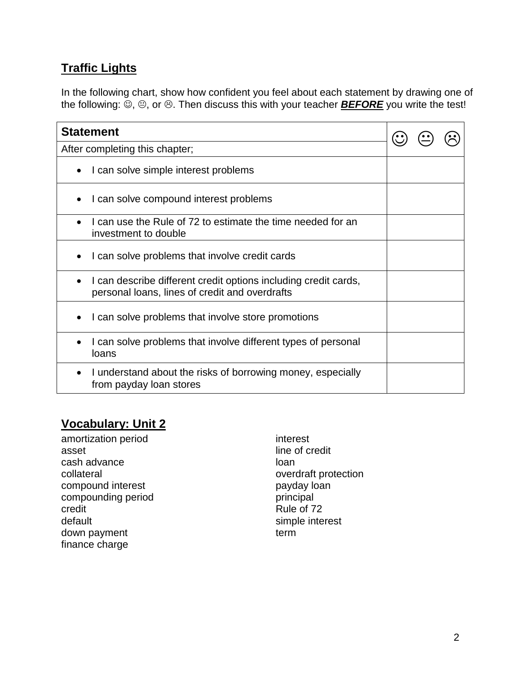# **Traffic Lights**

In the following chart, show how confident you feel about each statement by drawing one of the following:  $\ddot{\odot}$ ,  $\odot$ , or  $\odot$ . Then discuss this with your teacher **BEFORE** you write the test!

| <b>Statement</b>                                                                                                  |  |  |  |
|-------------------------------------------------------------------------------------------------------------------|--|--|--|
| After completing this chapter;                                                                                    |  |  |  |
| I can solve simple interest problems<br>$\bullet$                                                                 |  |  |  |
| I can solve compound interest problems                                                                            |  |  |  |
| I can use the Rule of 72 to estimate the time needed for an<br>investment to double                               |  |  |  |
| I can solve problems that involve credit cards                                                                    |  |  |  |
| I can describe different credit options including credit cards,<br>personal loans, lines of credit and overdrafts |  |  |  |
| I can solve problems that involve store promotions                                                                |  |  |  |
| I can solve problems that involve different types of personal<br>loans                                            |  |  |  |
| I understand about the risks of borrowing money, especially<br>from payday loan stores                            |  |  |  |

### **Vocabulary: Unit 2**

amortization period asset cash advance collateral compound interest compounding period credit default down payment finance charge

interest line of credit loan overdraft protection payday loan principal Rule of 72 simple interest term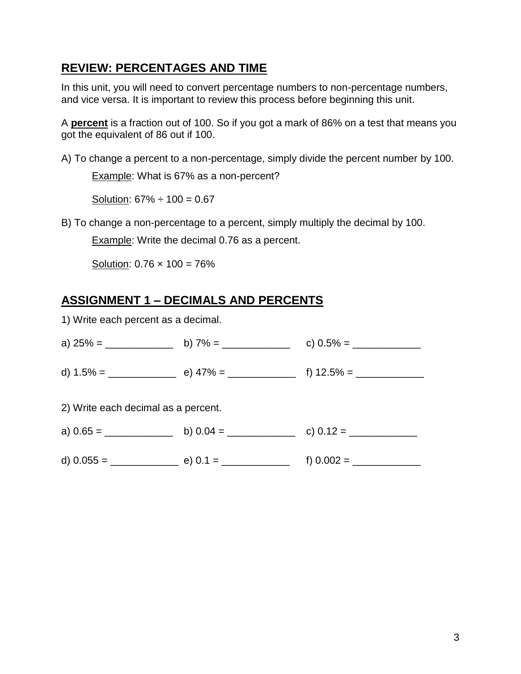### **REVIEW: PERCENTAGES AND TIME**

In this unit, you will need to convert percentage numbers to non-percentage numbers, and vice versa. It is important to review this process before beginning this unit.

A **percent** is a fraction out of 100. So if you got a mark of 86% on a test that means you got the equivalent of 86 out if 100.

A) To change a percent to a non-percentage, simply divide the percent number by 100.

Example: What is 67% as a non-percent?

Solution:  $67\% \div 100 = 0.67$ 

B) To change a non-percentage to a percent, simply multiply the decimal by 100.

Example: Write the decimal 0.76 as a percent.

Solution:  $0.76 \times 100 = 76\%$ 

# **ASSIGNMENT 1 – DECIMALS AND PERCENTS**

1) Write each percent as a decimal.

| 2) Write each decimal as a percent. |  |
|-------------------------------------|--|
|                                     |  |
|                                     |  |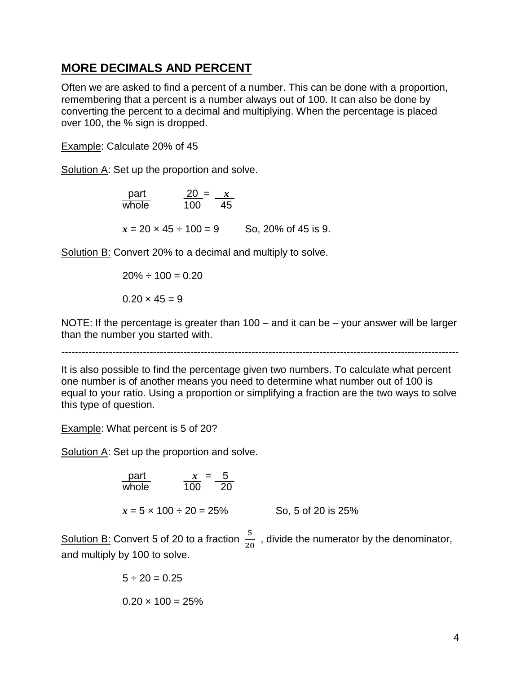#### **MORE DECIMALS AND PERCENT**

Often we are asked to find a percent of a number. This can be done with a proportion, remembering that a percent is a number always out of 100. It can also be done by converting the percent to a decimal and multiplying. When the percentage is placed over 100, the % sign is dropped.

Example: Calculate 20% of 45

Solution A: Set up the proportion and solve.

| part                            | $\frac{20}{100} = \frac{x}{45}$ |
|---------------------------------|---------------------------------|
| $x = 20 \times 45 \div 100 = 9$ | So, 20% of 45 is 9.             |

Solution B: Convert 20% to a decimal and multiply to solve.

$$
20\% \div 100 = 0.20
$$

$$
0.20 \times 45 = 9
$$

NOTE: If the percentage is greater than 100 – and it can be – your answer will be larger than the number you started with.

---------------------------------------------------------------------------------------------------------------------

It is also possible to find the percentage given two numbers. To calculate what percent one number is of another means you need to determine what number out of 100 is equal to your ratio. Using a proportion or simplifying a fraction are the two ways to solve this type of question.

Example: What percent is 5 of 20?

Solution A: Set up the proportion and solve.

| part                              | $x = 5$                        |
|-----------------------------------|--------------------------------|
| whole                             | $\frac{x}{100} = \frac{5}{20}$ |
| $x = 5 \times 100 \div 20 = 25\%$ | So, 5 of 20 is 25%             |

Solution B: Convert 5 of 20 to a fraction  $\frac{3}{20}$ , divide the numerator by the denominator, and multiply by 100 to solve.

$$
5 \div 20 = 0.25
$$
  
 $0.20 \times 100 = 25\%$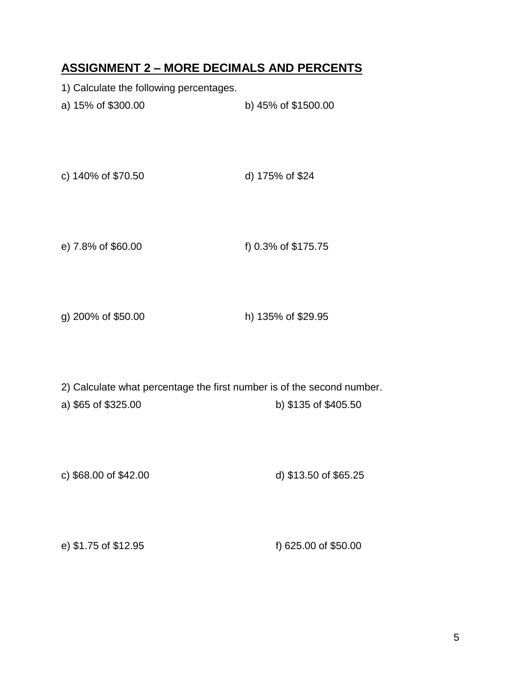#### **ASSIGNMENT 2 – MORE DECIMALS AND PERCENTS**

- 1) Calculate the following percentages.
- a) 15% of \$300.00 b) 45% of \$1500.00
- c) 140% of \$70.50 d) 175% of \$24
- e) 7.8% of \$60.00 f) 0.3% of \$175.75
- g) 200% of \$50.00 h) 135% of \$29.95
- 2) Calculate what percentage the first number is of the second number.
- a) \$65 of \$325.00 b) \$135 of \$405.50
- c) \$68.00 of \$42.00 d) \$13.50 of \$65.25

e) \$1.75 of \$12.95 f) 625.00 of \$50.00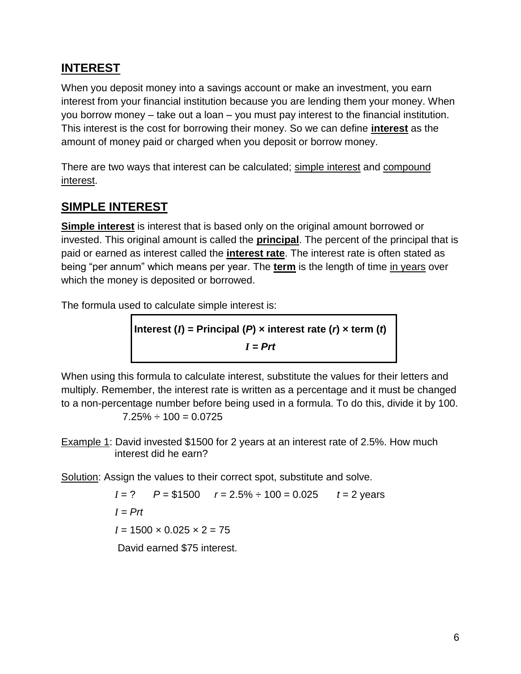## **INTEREST**

When you deposit money into a savings account or make an investment, you earn interest from your financial institution because you are lending them your money. When you borrow money – take out a loan – you must pay interest to the financial institution. This interest is the cost for borrowing their money. So we can define **interest** as the amount of money paid or charged when you deposit or borrow money.

There are two ways that interest can be calculated; simple interest and compound interest.

## **SIMPLE INTEREST**

**Simple interest** is interest that is based only on the original amount borrowed or invested. This original amount is called the **principal**. The percent of the principal that is paid or earned as interest called the **interest rate**. The interest rate is often stated as being "per annum" which means per year. The **term** is the length of time in years over which the money is deposited or borrowed.

The formula used to calculate simple interest is:

Interest (*I*) = Principal (*P*) × interest rate (*r*) × term (*t*)  

$$
I = Prt
$$

When using this formula to calculate interest, substitute the values for their letters and multiply. Remember, the interest rate is written as a percentage and it must be changed to a non-percentage number before being used in a formula. To do this, divide it by 100.  $7.25\% \div 100 = 0.0725$ 

Example 1: David invested \$1500 for 2 years at an interest rate of 2.5%. How much interest did he earn?

Solution: Assign the values to their correct spot, substitute and solve.

*I* = ? *P* = \$1500 *r* = 2.5% ÷ 100 = 0.025 *t* = 2 years  $I = Prf$  $I = 1500 \times 0.025 \times 2 = 75$ David earned \$75 interest.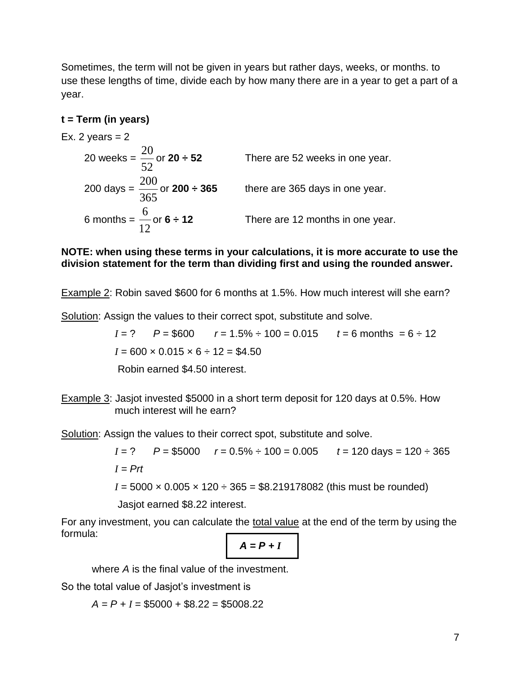Sometimes, the term will not be given in years but rather days, weeks, or months. to use these lengths of time, divide each by how many there are in a year to get a part of a year.

#### **t = Term (in years)**

Ex. 2 years  $= 2$ 20 weeks = 52 20 There are 52 weeks in one year. 200 days = 365 200 or **200 ÷ 365** there are 365 days in one year. 6 months = 12 6 There are 12 months in one year.

#### **NOTE: when using these terms in your calculations, it is more accurate to use the division statement for the term than dividing first and using the rounded answer.**

Example 2: Robin saved \$600 for 6 months at 1.5%. How much interest will she earn?

Solution: Assign the values to their correct spot, substitute and solve.

 $I = ?$   $P = $600$   $r = 1.5\% \div 100 = 0.015$   $t = 6$  months  $= 6 \div 12$  $I = 600 \times 0.015 \times 6 \div 12 = $4.50$ 

Robin earned \$4.50 interest.

Example 3: Jasjot invested \$5000 in a short term deposit for 120 days at 0.5%. How much interest will he earn?

Solution: Assign the values to their correct spot, substitute and solve.

*I* = ? *P* = \$5000 *r* = 0.5% ÷ 100 = 0.005 *t* = 120 days = 120 ÷ 365 *I = Prt*  $I = 5000 \times 0.005 \times 120 \div 365 = $8.219178082$  (this must be rounded) Jasjot earned \$8.22 interest.

For any investment, you can calculate the total value at the end of the term by using the formula:

$$
A = P + I
$$

where *A* is the final value of the investment.

So the total value of Jasjot's investment is

 $A = P + I = $5000 + $8.22 = $5008.22$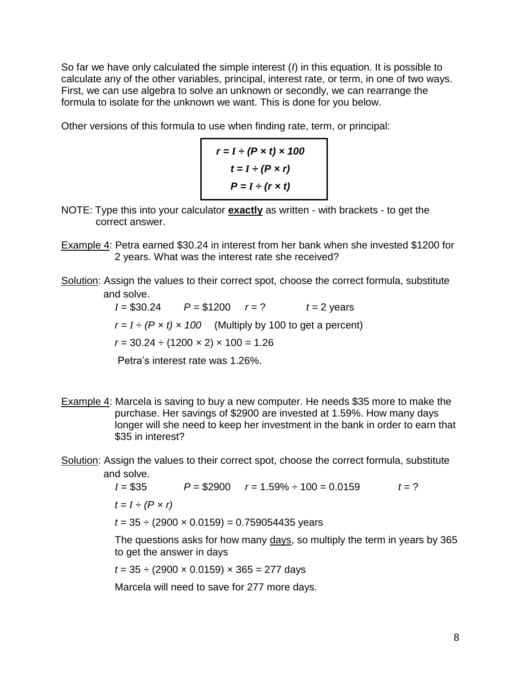So far we have only calculated the simple interest (*I*) in this equation. It is possible to calculate any of the other variables, principal, interest rate, or term, in one of two ways. First, we can use algebra to solve an unknown or secondly, we can rearrange the formula to isolate for the unknown we want. This is done for you below.

Other versions of this formula to use when finding rate, term, or principal:

```
r = I \div (P \times t) \times 100t = I \div (P \times r)P = I \div (r \times t)
```
- NOTE: Type this into your calculator **exactly** as written with brackets to get the correct answer.
- Example 4: Petra earned \$30.24 in interest from her bank when she invested \$1200 for 2 years. What was the interest rate she received?
- Solution: Assign the values to their correct spot, choose the correct formula, substitute and solve.

 $I = $30.24$   $P = $1200$   $r = ?$   $t = 2$  years  $r = I \div (P \times t) \times 100$  (Multiply by 100 to get a percent)  $r = 30.24 \div (1200 \times 2) \times 100 = 1.26$ Petra's interest rate was 1.26%.

- Example 4: Marcela is saving to buy a new computer. He needs \$35 more to make the purchase. Her savings of \$2900 are invested at 1.59%. How many days longer will she need to keep her investment in the bank in order to earn that \$35 in interest?
- Solution: Assign the values to their correct spot, choose the correct formula, substitute and solve.

*I* = \$35 *P* = \$2900 *r* = 1.59% ÷ 100 = 0.0159 *t* = ?  $t = I \div (P \times r)$  $t = 35 \div (2900 \times 0.0159) = 0.759054435$  years

The questions asks for how many days, so multiply the term in years by 365 to get the answer in days

*t* = 35 ÷ (2900 × 0.0159) × 365 = 277 days

Marcela will need to save for 277 more days.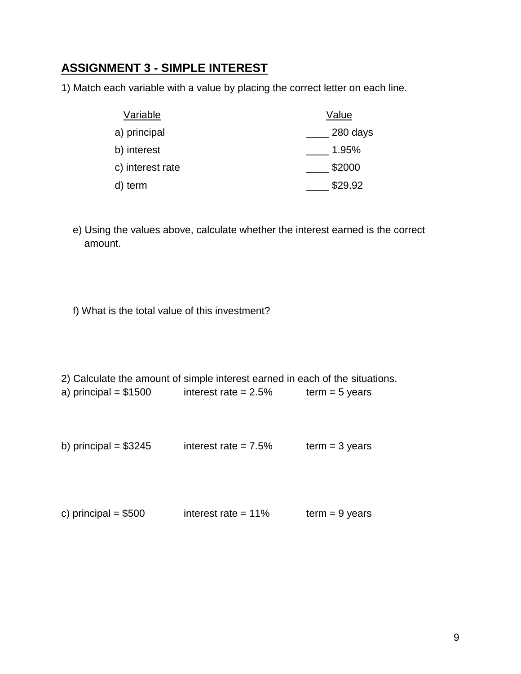#### **ASSIGNMENT 3 - SIMPLE INTEREST**

1) Match each variable with a value by placing the correct letter on each line.

| Variable         | Value    |
|------------------|----------|
| a) principal     | 280 days |
| b) interest      | 1.95%    |
| c) interest rate | \$2000   |
| term             | \$29.92  |

- e) Using the values above, calculate whether the interest earned is the correct amount.
- f) What is the total value of this investment?

2) Calculate the amount of simple interest earned in each of the situations.

- a) principal =  $$1500$  interest rate =  $2.5\%$  term = 5 years
- b) principal =  $$3245$  interest rate =  $7.5\%$  term = 3 years

| c) principal $= $500$ | interest rate $= 11\%$ | $term = 9 years$ |
|-----------------------|------------------------|------------------|
|                       |                        |                  |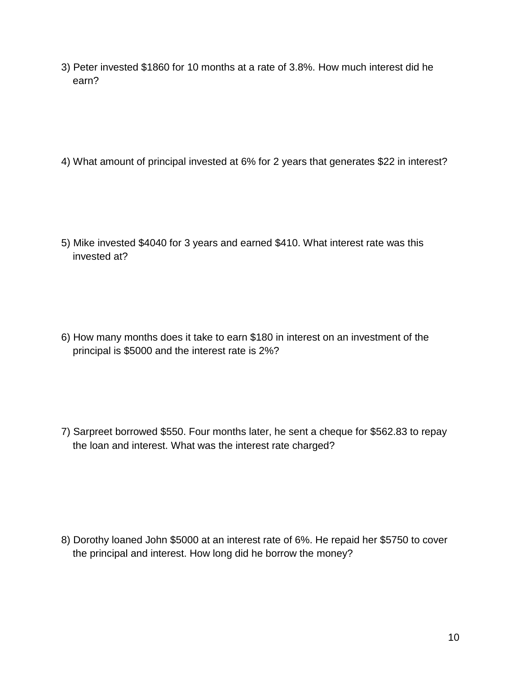3) Peter invested \$1860 for 10 months at a rate of 3.8%. How much interest did he earn?

4) What amount of principal invested at 6% for 2 years that generates \$22 in interest?

5) Mike invested \$4040 for 3 years and earned \$410. What interest rate was this invested at?

6) How many months does it take to earn \$180 in interest on an investment of the principal is \$5000 and the interest rate is 2%?

7) Sarpreet borrowed \$550. Four months later, he sent a cheque for \$562.83 to repay the loan and interest. What was the interest rate charged?

8) Dorothy loaned John \$5000 at an interest rate of 6%. He repaid her \$5750 to cover the principal and interest. How long did he borrow the money?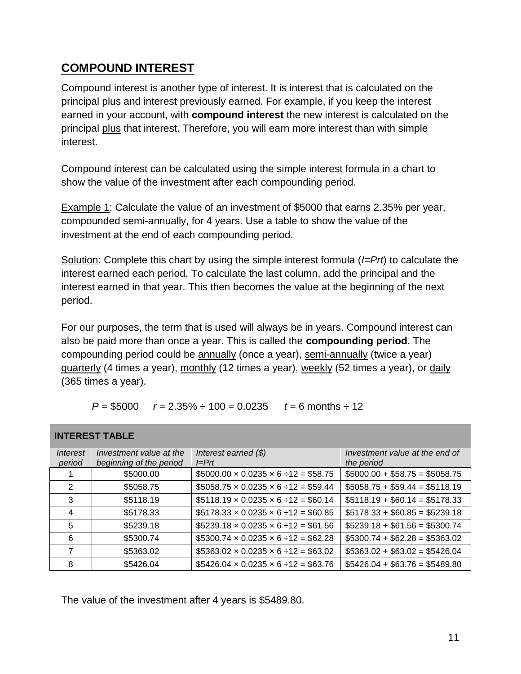### **COMPOUND INTEREST**

Compound interest is another type of interest. It is interest that is calculated on the principal plus and interest previously earned. For example, if you keep the interest earned in your account, with **compound interest** the new interest is calculated on the principal plus that interest. Therefore, you will earn more interest than with simple interest.

Compound interest can be calculated using the simple interest formula in a chart to show the value of the investment after each compounding period.

Example 1: Calculate the value of an investment of \$5000 that earns 2.35% per year, compounded semi-annually, for 4 years. Use a table to show the value of the investment at the end of each compounding period.

Solution: Complete this chart by using the simple interest formula (*I=Prt*) to calculate the interest earned each period. To calculate the last column, add the principal and the interest earned in that year. This then becomes the value at the beginning of the next period.

For our purposes, the term that is used will always be in years. Compound interest can also be paid more than once a year. This is called the **compounding period**. The compounding period could be annually (once a year), semi-annually (twice a year) guarterly (4 times a year), monthly (12 times a year), weekly (52 times a year), or daily (365 times a year).

| $P = $5000$<br>$r = 2.35\% \div 100 = 0.0235$ | $t = 6$ months $\div$ 12 |
|-----------------------------------------------|--------------------------|
|-----------------------------------------------|--------------------------|

#### **INTEREST TABLE**

| <i><b>Interest</b></i><br>period | Investment value at the<br>beginning of the period | Interest earned $(\$)$<br>$I=Prf$                  | Investment value at the end of<br>the period |
|----------------------------------|----------------------------------------------------|----------------------------------------------------|----------------------------------------------|
|                                  | \$5000.00                                          | $$5000.00 \times 0.0235 \times 6 \div 12 = $58.75$ | $$5000.00 + $58.75 = $5058.75$               |
| 2                                | \$5058.75                                          | $$5058.75 \times 0.0235 \times 6 \div 12 = $59.44$ | $$5058.75 + $59.44 = $5118.19$               |
| 3                                | \$5118.19                                          | $$5118.19 \times 0.0235 \times 6 \div 12 = $60.14$ | $$5118.19 + $60.14 = $5178.33$               |
| 4                                | \$5178.33                                          | $$5178.33 \times 0.0235 \times 6 \div 12 = $60.85$ | $$5178.33 + $60.85 = $5239.18$               |
| 5                                | \$5239.18                                          | $$5239.18 \times 0.0235 \times 6 \div 12 = $61.56$ | $$5239.18 + $61.56 = $5300.74$               |
| 6                                | \$5300.74                                          | $$5300.74 \times 0.0235 \times 6 \div 12 = $62.28$ | $$5300.74 + $62.28 = $5363.02$               |
| 7                                | \$5363.02                                          | $$5363.02 \times 0.0235 \times 6 \div 12 = $63.02$ | $$5363.02 + $63.02 = $5426.04$               |
| 8                                | \$5426.04                                          | $$5426.04 \times 0.0235 \times 6 \div 12 = $63.76$ | $$5426.04 + $63.76 = $5489.80$               |

The value of the investment after 4 years is \$5489.80.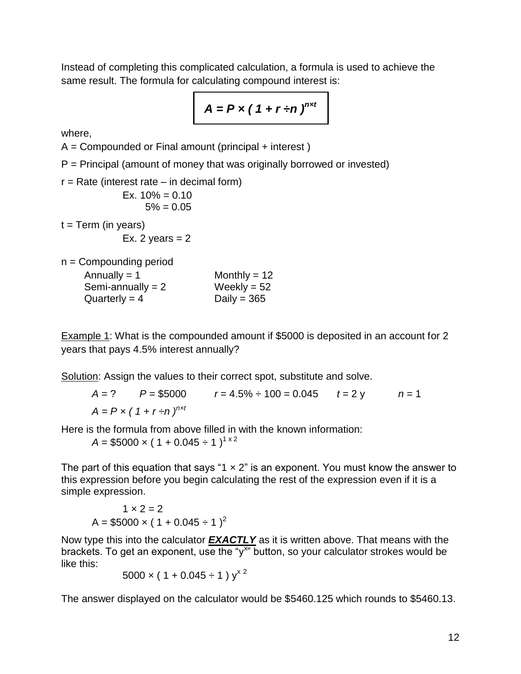Instead of completing this complicated calculation, a formula is used to achieve the same result. The formula for calculating compound interest is:

$$
A = P \times (1 + r \div n)^{n \times t}
$$

where,

 $A =$  Compounded or Final amount (principal  $+$  interest)

 $P =$  Principal (amount of money that was originally borrowed or invested)

 $r = Rate$  (interest rate – in decimal form)

Ex.  $10\% = 0.10$  $5\% = 0.05$ 

 $t = Term (in years)$ 

Ex. 2 years  $= 2$ 

n = Compounding period

| Annually $= 1$      | Monthly = $12$ |
|---------------------|----------------|
| Semi-annually $= 2$ | Weekly = $52$  |
| Quarterly = $4$     | Daily = $365$  |

Example 1: What is the compounded amount if \$5000 is deposited in an account for 2 years that pays 4.5% interest annually?

Solution: Assign the values to their correct spot, substitute and solve.

 $A = ?$   $P = $5000$   $r = 4.5\% \div 100 = 0.045$   $t = 2y$   $n = 1$  $A = P \times (1 + r \div n)^{n \times t}$ 

Here is the formula from above filled in with the known information:

 $A = $5000 \times (1 + 0.045 \div 1)^{1 \times 2}$ 

The part of this equation that says "1  $\times$  2" is an exponent. You must know the answer to this expression before you begin calculating the rest of the expression even if it is a simple expression.

$$
1 \times 2 = 2
$$
  
A = \$5000 × (1 + 0.045 ÷ 1)<sup>2</sup>

Now type this into the calculator *EXACTLY* as it is written above. That means with the brackets. To get an exponent, use the " $y^{x}$ " button, so your calculator strokes would be like this:

$$
5000 \times (1 + 0.045 \div 1) y^{x^2}
$$

The answer displayed on the calculator would be \$5460.125 which rounds to \$5460.13.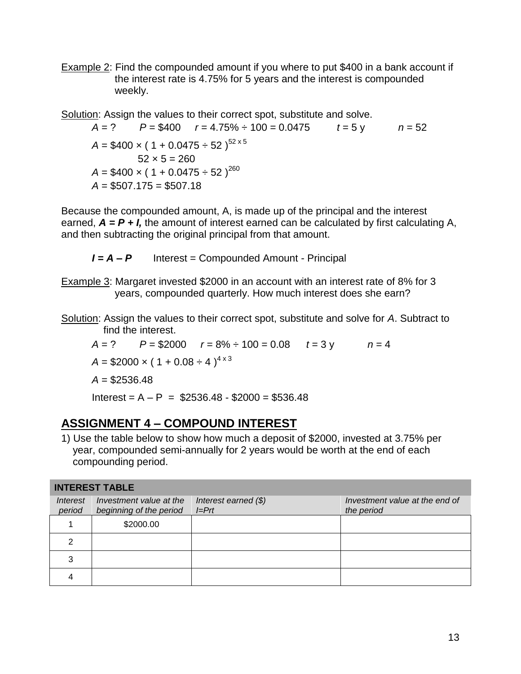Example 2: Find the compounded amount if you where to put \$400 in a bank account if the interest rate is 4.75% for 5 years and the interest is compounded weekly.

Solution: Assign the values to their correct spot, substitute and solve.

 $A = ?$   $P = $400$   $r = 4.75\% \div 100 = 0.0475$   $t = 5 \vee$   $n = 52$  $A = $400 \times (1 + 0.0475 \div 52)^{52 \times 5}$  $52 \times 5 = 260$  $A = $400 \times (1 + 0.0475 \div 52)^{260}$  $A = $507.175 = $507.18$ 

Because the compounded amount, A, is made up of the principal and the interest earned,  $A = P + I$ , the amount of interest earned can be calculated by first calculating A, and then subtracting the original principal from that amount.

*I = A – P* Interest = Compounded Amount - Principal

- Example 3: Margaret invested \$2000 in an account with an interest rate of 8% for 3 years, compounded quarterly. How much interest does she earn?
- Solution: Assign the values to their correct spot, substitute and solve for *A*. Subtract to find the interest.

 $A = ?$   $P = $2000$   $r = 8\% \div 100 = 0.08$   $t = 3y$   $n = 4$  $A = $2000 \times (1 + 0.08 \div 4)^{4 \times 3}$ *A* = \$2536.48 Interest =  $A - P$  = \$2536.48 - \$2000 = \$536.48

# **ASSIGNMENT 4 – COMPOUND INTEREST**

1) Use the table below to show how much a deposit of \$2000, invested at 3.75% per year, compounded semi-annually for 2 years would be worth at the end of each compounding period.

| <b>INTEREST TABLE</b> |                                                    |                                   |                                              |  |
|-----------------------|----------------------------------------------------|-----------------------------------|----------------------------------------------|--|
| Interest<br>period    | Investment value at the<br>beginning of the period | Interest earned $(\$)$<br>$I=Prt$ | Investment value at the end of<br>the period |  |
|                       | \$2000.00                                          |                                   |                                              |  |
|                       |                                                    |                                   |                                              |  |
| 3                     |                                                    |                                   |                                              |  |
|                       |                                                    |                                   |                                              |  |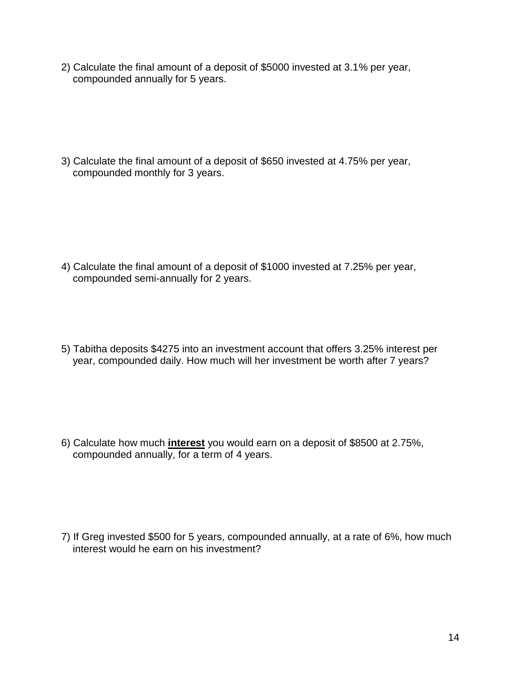2) Calculate the final amount of a deposit of \$5000 invested at 3.1% per year, compounded annually for 5 years.

3) Calculate the final amount of a deposit of \$650 invested at 4.75% per year, compounded monthly for 3 years.

- 4) Calculate the final amount of a deposit of \$1000 invested at 7.25% per year, compounded semi-annually for 2 years.
- 5) Tabitha deposits \$4275 into an investment account that offers 3.25% interest per year, compounded daily. How much will her investment be worth after 7 years?

6) Calculate how much **interest** you would earn on a deposit of \$8500 at 2.75%, compounded annually, for a term of 4 years.

7) If Greg invested \$500 for 5 years, compounded annually, at a rate of 6%, how much interest would he earn on his investment?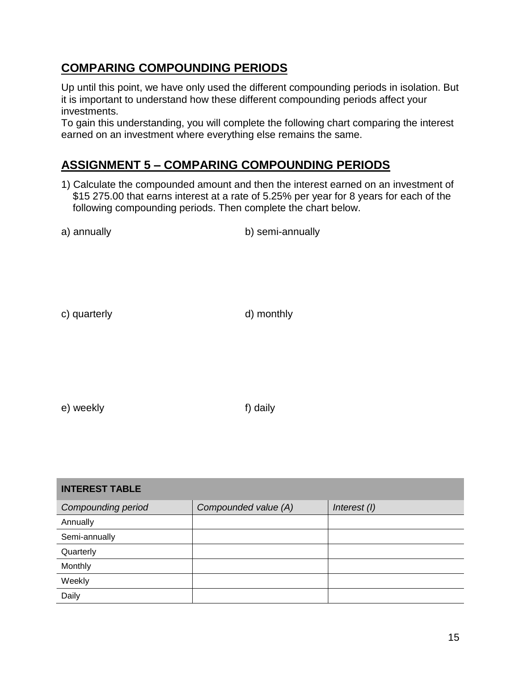### **COMPARING COMPOUNDING PERIODS**

Up until this point, we have only used the different compounding periods in isolation. But it is important to understand how these different compounding periods affect your investments.

To gain this understanding, you will complete the following chart comparing the interest earned on an investment where everything else remains the same.

# **ASSIGNMENT 5 – COMPARING COMPOUNDING PERIODS**

1) Calculate the compounded amount and then the interest earned on an investment of \$15 275.00 that earns interest at a rate of 5.25% per year for 8 years for each of the following compounding periods. Then complete the chart below.

a) annually b) semi-annually

c) quarterly d) monthly

e) weekly f) daily

| <b>INTEREST TABLE</b>     |                      |              |  |  |
|---------------------------|----------------------|--------------|--|--|
| <b>Compounding period</b> | Compounded value (A) | Interest (I) |  |  |
| Annually                  |                      |              |  |  |
| Semi-annually             |                      |              |  |  |
| Quarterly                 |                      |              |  |  |
| Monthly                   |                      |              |  |  |
| Weekly                    |                      |              |  |  |
| Daily                     |                      |              |  |  |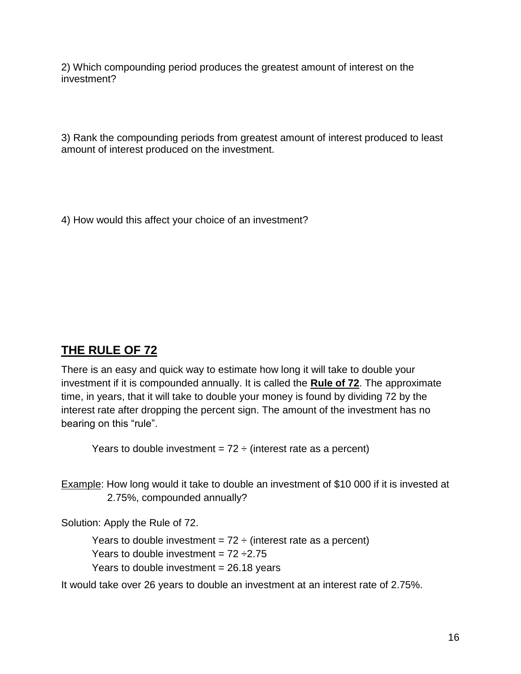2) Which compounding period produces the greatest amount of interest on the investment?

3) Rank the compounding periods from greatest amount of interest produced to least amount of interest produced on the investment.

4) How would this affect your choice of an investment?

# **THE RULE OF 72**

There is an easy and quick way to estimate how long it will take to double your investment if it is compounded annually. It is called the **Rule of 72**. The approximate time, in years, that it will take to double your money is found by dividing 72 by the interest rate after dropping the percent sign. The amount of the investment has no bearing on this "rule".

Years to double investment =  $72 \div ($ interest rate as a percent)

Example: How long would it take to double an investment of \$10 000 if it is invested at 2.75%, compounded annually?

Solution: Apply the Rule of 72.

Years to double investment =  $72 \div$  (interest rate as a percent)

Years to double investment =  $72 \div 2.75$ 

Years to double investment  $= 26.18$  years

It would take over 26 years to double an investment at an interest rate of 2.75%.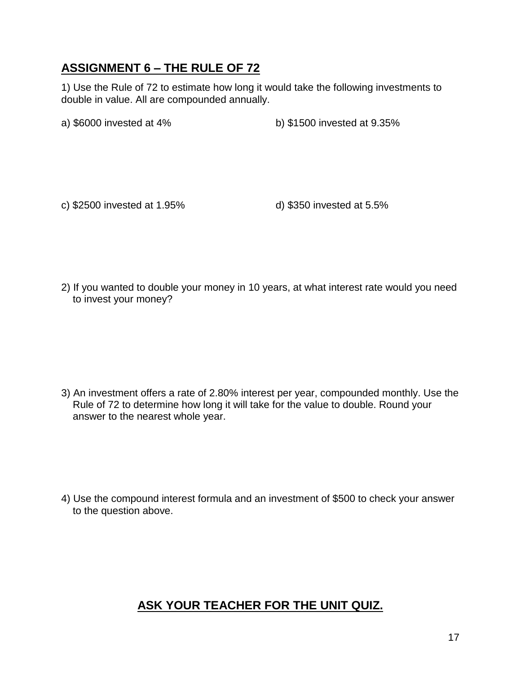## **ASSIGNMENT 6 – THE RULE OF 72**

1) Use the Rule of 72 to estimate how long it would take the following investments to double in value. All are compounded annually.

a) \$6000 invested at 4% b) \$1500 invested at 9.35%

c) \$2500 invested at 1.95% d) \$350 invested at 5.5%

2) If you wanted to double your money in 10 years, at what interest rate would you need to invest your money?

3) An investment offers a rate of 2.80% interest per year, compounded monthly. Use the Rule of 72 to determine how long it will take for the value to double. Round your answer to the nearest whole year.

4) Use the compound interest formula and an investment of \$500 to check your answer to the question above.

### **ASK YOUR TEACHER FOR THE UNIT QUIZ.**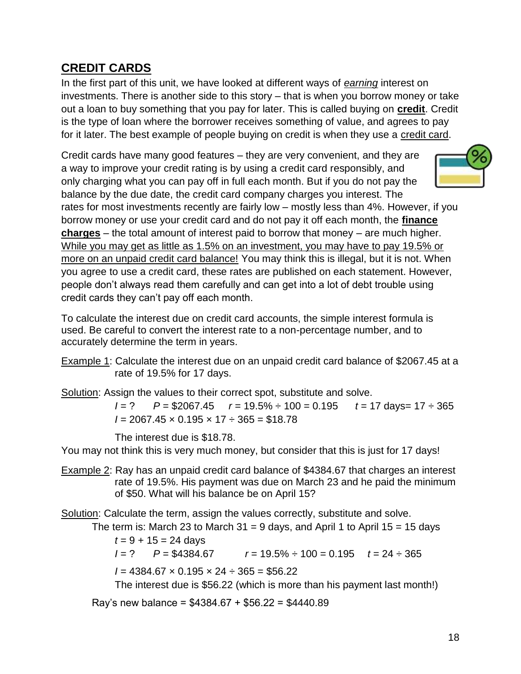### **CREDIT CARDS**

In the first part of this unit, we have looked at different ways of *earning* interest on investments. There is another side to this story – that is when you borrow money or take out a loan to buy something that you pay for later. This is called buying on **credit**. Credit is the type of loan where the borrower receives something of value, and agrees to pay for it later. The best example of people buying on credit is when they use a credit card.

Credit cards have many good features – they are very convenient, and they are a way to improve your credit rating is by using a credit card responsibly, and only charging what you can pay off in full each month. But if you do not pay the balance by the due date, the credit card company charges you interest. The



rates for most investments recently are fairly low – mostly less than 4%. However, if you borrow money or use your credit card and do not pay it off each month, the **finance charges** – the total amount of interest paid to borrow that money – are much higher. While you may get as little as 1.5% on an investment, you may have to pay 19.5% or more on an unpaid credit card balance! You may think this is illegal, but it is not. When you agree to use a credit card, these rates are published on each statement. However, people don't always read them carefully and can get into a lot of debt trouble using credit cards they can't pay off each month.

To calculate the interest due on credit card accounts, the simple interest formula is used. Be careful to convert the interest rate to a non-percentage number, and to accurately determine the term in years.

Example 1: Calculate the interest due on an unpaid credit card balance of \$2067.45 at a rate of 19.5% for 17 days.

Solution: Assign the values to their correct spot, substitute and solve.

*I* = ? *P* = \$2067.45 *r* = 19.5% ÷ 100 = 0.195 *t* = 17 days= 17 ÷ 365 *I* = 2067.45 × 0.195 × 17 ÷ 365 = \$18.78

The interest due is \$18.78.

You may not think this is very much money, but consider that this is just for 17 days!

Example 2: Ray has an unpaid credit card balance of \$4384.67 that charges an interest rate of 19.5%. His payment was due on March 23 and he paid the minimum of \$50. What will his balance be on April 15?

Solution: Calculate the term, assign the values correctly, substitute and solve.

The term is: March 23 to March 31 = 9 days, and April 1 to April 15 = 15 days

$$
t = 9 + 15 = 24
$$
 days

*I* = ? *P* = \$4384.67 *r* = 19.5% ÷ 100 = 0.195 *t* = 24 ÷ 365

 $I = 4384.67 \times 0.195 \times 24 \div 365 = $56.22$ 

The interest due is \$56.22 (which is more than his payment last month!)

Ray's new balance = \$4384.67 + \$56.22 = \$4440.89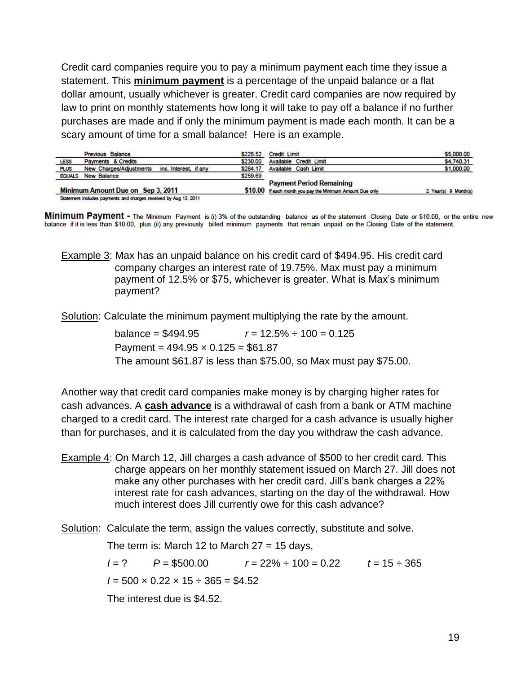Credit card companies require you to pay a minimum payment each time they issue a statement. This **minimum payment** is a percentage of the unpaid balance or a flat dollar amount, usually whichever is greater. Credit card companies are now required by law to print on monthly statements how long it will take to pay off a balance if no further purchases are made and if only the minimum payment is made each month. It can be a scary amount of time for a small balance! Here is an example.

|               | Previous Balance                                                 | \$225.52 | Credit Limit                                                                                 | \$5,000.00           |
|---------------|------------------------------------------------------------------|----------|----------------------------------------------------------------------------------------------|----------------------|
| LESS          | Payments & Credits                                               | \$230.00 | <b>Available Credit Limit</b>                                                                | \$4,740.31           |
| <b>PLUS</b>   | New Charges/Adjustments<br>inc. Interest, if any                 | \$264.17 | Available Cash Limit                                                                         | \$1,000.00           |
| <b>EQUALS</b> | New Balance                                                      | \$259.69 |                                                                                              |                      |
|               | Minimum Amount Due on Sep 3, 2011                                |          | <b>Payment Period Remaining</b><br>\$10.00 If each month you pay the Minimum Amount Due only | 2 Year(s) 9 Month(s) |
|               | Statement includes payments and charges received by Aug 13, 2011 |          |                                                                                              |                      |

Minimum Payment - The Minimum Payment is (i) 3% of the outstanding balance as of the statement Closing Date or \$10.00, or the entire new balance if it is less than \$10.00, plus (ii) any previously billed minimum payments that remain unpaid on the Closing Date of the statement.

Example 3: Max has an unpaid balance on his credit card of \$494.95. His credit card company charges an interest rate of 19.75%. Max must pay a minimum payment of 12.5% or \$75, whichever is greater. What is Max's minimum payment?

Solution: Calculate the minimum payment multiplying the rate by the amount.

balance =  $$494.95$   $r = 12.5\% \div 100 = 0.125$ Payment =  $494.95 \times 0.125 = $61.87$ The amount \$61.87 is less than \$75.00, so Max must pay \$75.00.

Another way that credit card companies make money is by charging higher rates for cash advances. A **cash advance** is a withdrawal of cash from a bank or ATM machine charged to a credit card. The interest rate charged for a cash advance is usually higher than for purchases, and it is calculated from the day you withdraw the cash advance.

Example 4: On March 12, Jill charges a cash advance of \$500 to her credit card. This charge appears on her monthly statement issued on March 27. Jill does not make any other purchases with her credit card. Jill's bank charges a 22% interest rate for cash advances, starting on the day of the withdrawal. How much interest does Jill currently owe for this cash advance?

Solution: Calculate the term, assign the values correctly, substitute and solve.

The term is: March 12 to March  $27 = 15$  days,

*I* = ? *P* = \$500.00 *r* = 22% ÷ 100 = 0.22 *t* = 15 ÷ 365  $I = 500 \times 0.22 \times 15 \div 365 = $4.52$ 

The interest due is \$4.52.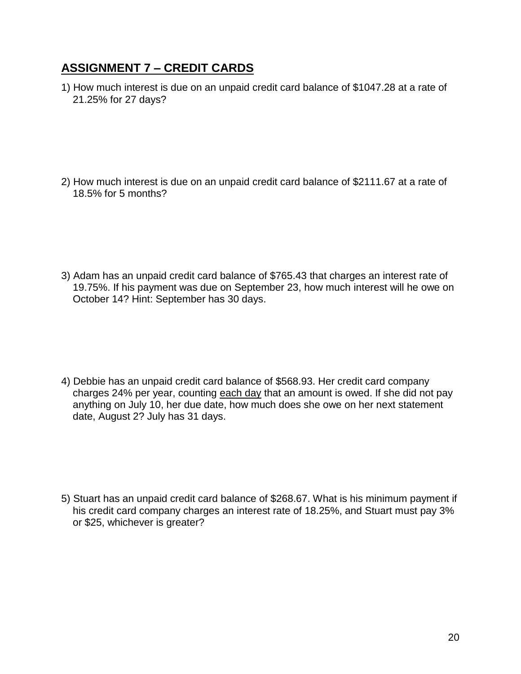### **ASSIGNMENT 7 – CREDIT CARDS**

1) How much interest is due on an unpaid credit card balance of \$1047.28 at a rate of 21.25% for 27 days?

2) How much interest is due on an unpaid credit card balance of \$2111.67 at a rate of 18.5% for 5 months?

3) Adam has an unpaid credit card balance of \$765.43 that charges an interest rate of 19.75%. If his payment was due on September 23, how much interest will he owe on October 14? Hint: September has 30 days.

4) Debbie has an unpaid credit card balance of \$568.93. Her credit card company charges 24% per year, counting each day that an amount is owed. If she did not pay anything on July 10, her due date, how much does she owe on her next statement date, August 2? July has 31 days.

5) Stuart has an unpaid credit card balance of \$268.67. What is his minimum payment if his credit card company charges an interest rate of 18.25%, and Stuart must pay 3% or \$25, whichever is greater?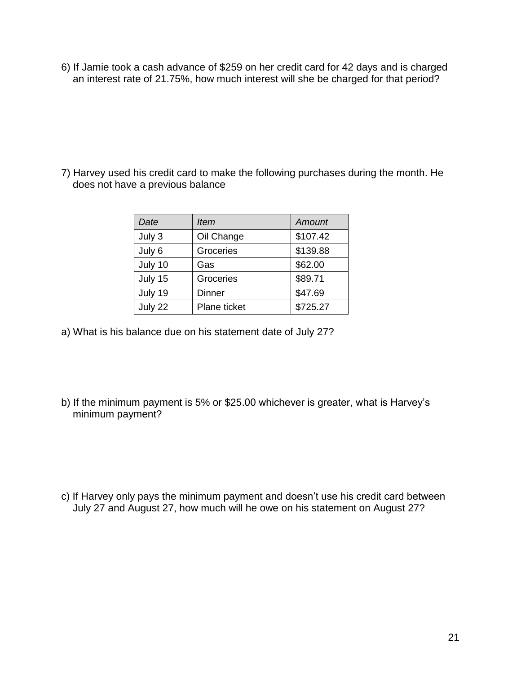6) If Jamie took a cash advance of \$259 on her credit card for 42 days and is charged an interest rate of 21.75%, how much interest will she be charged for that period?

7) Harvey used his credit card to make the following purchases during the month. He does not have a previous balance

| Date    | <b>Item</b>   | <b>Amount</b> |
|---------|---------------|---------------|
| July 3  | Oil Change    | \$107.42      |
| July 6  | Groceries     | \$139.88      |
| July 10 | Gas           | \$62.00       |
| July 15 | Groceries     | \$89.71       |
| July 19 | <b>Dinner</b> | \$47.69       |
| July 22 | Plane ticket  | \$725.27      |

- a) What is his balance due on his statement date of July 27?
- b) If the minimum payment is 5% or \$25.00 whichever is greater, what is Harvey's minimum payment?

c) If Harvey only pays the minimum payment and doesn't use his credit card between July 27 and August 27, how much will he owe on his statement on August 27?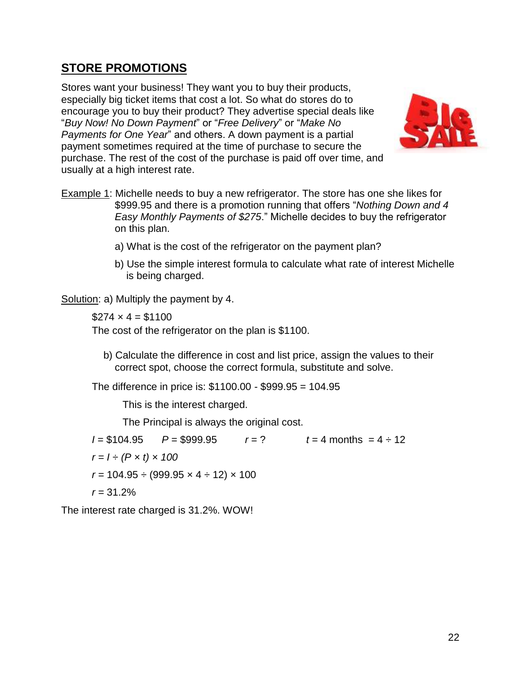### **STORE PROMOTIONS**

Stores want your business! They want you to buy their products, especially big ticket items that cost a lot. So what do stores do to encourage you to buy their product? They advertise special deals like "*Buy Now! No Down Payment*" or "*Free Delivery*" or "*Make No Payments for One Year*" and others. A down payment is a partial payment sometimes required at the time of purchase to secure the purchase. The rest of the cost of the purchase is paid off over time, and usually at a high interest rate.



- Example 1: Michelle needs to buy a new refrigerator. The store has one she likes for \$999.95 and there is a promotion running that offers "*Nothing Down and 4 Easy Monthly Payments of \$275*." Michelle decides to buy the refrigerator on this plan.
	- a) What is the cost of the refrigerator on the payment plan?
	- b) Use the simple interest formula to calculate what rate of interest Michelle is being charged.

Solution: a) Multiply the payment by 4.

 $$274 \times 4 = $1100$ 

The cost of the refrigerator on the plan is \$1100.

b) Calculate the difference in cost and list price, assign the values to their correct spot, choose the correct formula, substitute and solve.

The difference in price is: \$1100.00 - \$999.95 = 104.95

This is the interest charged.

The Principal is always the original cost.

 $I = $104.95$   $P = $999.95$   $r = ?$   $t = 4$  months  $= 4 \div 12$  $r = 1 \div (P \times t) \times 100$  $r = 104.95 \div (999.95 \times 4 \div 12) \times 100$ *r =* 31.2%

The interest rate charged is 31.2%. WOW!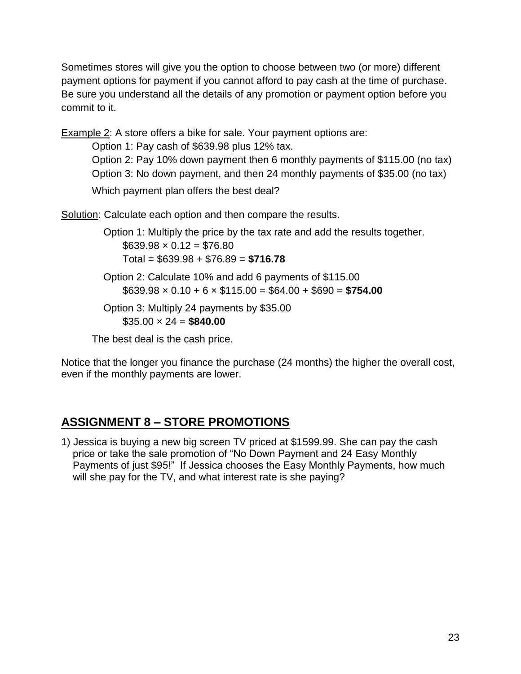Sometimes stores will give you the option to choose between two (or more) different payment options for payment if you cannot afford to pay cash at the time of purchase. Be sure you understand all the details of any promotion or payment option before you commit to it.

**Example 2:** A store offers a bike for sale. Your payment options are:

Option 1: Pay cash of \$639.98 plus 12% tax.

Option 2: Pay 10% down payment then 6 monthly payments of \$115.00 (no tax) Option 3: No down payment, and then 24 monthly payments of \$35.00 (no tax)

Which payment plan offers the best deal?

Solution: Calculate each option and then compare the results.

Option 1: Multiply the price by the tax rate and add the results together.  $$639.98 \times 0.12 = $76.80$ Total = \$639.98 + \$76.89 = **\$716.78** Option 2: Calculate 10% and add 6 payments of \$115.00  $$639.98 \times 0.10 + 6 \times $115.00 = $64.00 + $690 = $754.00$ Option 3: Multiply 24 payments by \$35.00  $$35.00 \times 24 = $840.00$ 

The best deal is the cash price.

Notice that the longer you finance the purchase (24 months) the higher the overall cost, even if the monthly payments are lower.

# **ASSIGNMENT 8 – STORE PROMOTIONS**

1) Jessica is buying a new big screen TV priced at \$1599.99. She can pay the cash price or take the sale promotion of "No Down Payment and 24 Easy Monthly Payments of just \$95!" If Jessica chooses the Easy Monthly Payments, how much will she pay for the TV, and what interest rate is she paying?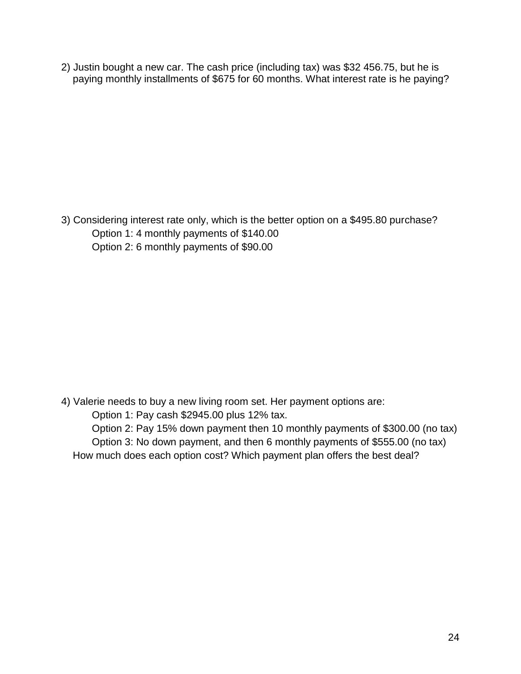2) Justin bought a new car. The cash price (including tax) was \$32 456.75, but he is paying monthly installments of \$675 for 60 months. What interest rate is he paying?

3) Considering interest rate only, which is the better option on a \$495.80 purchase? Option 1: 4 monthly payments of \$140.00 Option 2: 6 monthly payments of \$90.00

4) Valerie needs to buy a new living room set. Her payment options are: Option 1: Pay cash \$2945.00 plus 12% tax. Option 2: Pay 15% down payment then 10 monthly payments of \$300.00 (no tax) Option 3: No down payment, and then 6 monthly payments of \$555.00 (no tax) How much does each option cost? Which payment plan offers the best deal?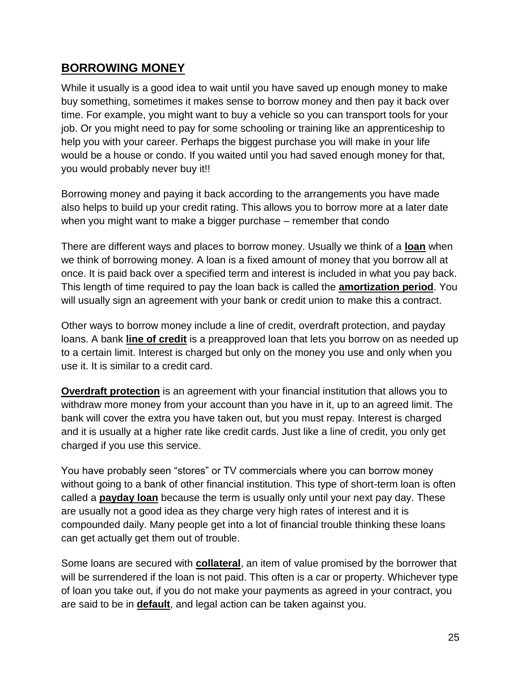#### **BORROWING MONEY**

While it usually is a good idea to wait until you have saved up enough money to make buy something, sometimes it makes sense to borrow money and then pay it back over time. For example, you might want to buy a vehicle so you can transport tools for your job. Or you might need to pay for some schooling or training like an apprenticeship to help you with your career. Perhaps the biggest purchase you will make in your life would be a house or condo. If you waited until you had saved enough money for that, you would probably never buy it!!

Borrowing money and paying it back according to the arrangements you have made also helps to build up your credit rating. This allows you to borrow more at a later date when you might want to make a bigger purchase – remember that condo

There are different ways and places to borrow money. Usually we think of a **loan** when we think of borrowing money. A loan is a fixed amount of money that you borrow all at once. It is paid back over a specified term and interest is included in what you pay back. This length of time required to pay the loan back is called the **amortization period**. You will usually sign an agreement with your bank or credit union to make this a contract.

Other ways to borrow money include a line of credit, overdraft protection, and payday loans. A bank **line of credit** is a preapproved loan that lets you borrow on as needed up to a certain limit. Interest is charged but only on the money you use and only when you use it. It is similar to a credit card.

**Overdraft protection** is an agreement with your financial institution that allows you to withdraw more money from your account than you have in it, up to an agreed limit. The bank will cover the extra you have taken out, but you must repay. Interest is charged and it is usually at a higher rate like credit cards. Just like a line of credit, you only get charged if you use this service.

You have probably seen "stores" or TV commercials where you can borrow money without going to a bank of other financial institution. This type of short-term loan is often called a **payday loan** because the term is usually only until your next pay day. These are usually not a good idea as they charge very high rates of interest and it is compounded daily. Many people get into a lot of financial trouble thinking these loans can get actually get them out of trouble.

Some loans are secured with **collateral**, an item of value promised by the borrower that will be surrendered if the loan is not paid. This often is a car or property. Whichever type of loan you take out, if you do not make your payments as agreed in your contract, you are said to be in **default**, and legal action can be taken against you.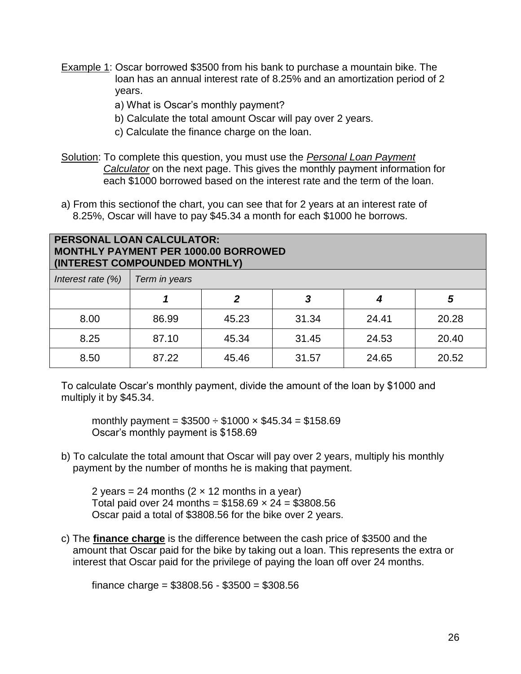- Example 1: Oscar borrowed \$3500 from his bank to purchase a mountain bike. The loan has an annual interest rate of 8.25% and an amortization period of 2 years.
	- a) What is Oscar's monthly payment?
	- b) Calculate the total amount Oscar will pay over 2 years.
	- c) Calculate the finance charge on the loan.
- Solution: To complete this question, you must use the *Personal Loan Payment Calculator* on the next page. This gives the monthly payment information for each \$1000 borrowed based on the interest rate and the term of the loan.
- a) From this sectionof the chart, you can see that for 2 years at an interest rate of 8.25%, Oscar will have to pay \$45.34 a month for each \$1000 he borrows.

#### **PERSONAL LOAN CALCULATOR: MONTHLY PAYMENT PER 1000.00 BORROWED (INTEREST COMPOUNDED MONTHLY)**

| Interest rate $(\%)$ | Term in years |       |       |       |       |  |  |  |
|----------------------|---------------|-------|-------|-------|-------|--|--|--|
|                      |               | 2     | 3     |       | 5     |  |  |  |
| 8.00                 | 86.99         | 45.23 | 31.34 | 24.41 | 20.28 |  |  |  |
| 8.25                 | 87.10         | 45.34 | 31.45 | 24.53 | 20.40 |  |  |  |
| 8.50                 | 87.22         | 45.46 | 31.57 | 24.65 | 20.52 |  |  |  |

To calculate Oscar's monthly payment, divide the amount of the loan by \$1000 and multiply it by \$45.34.

monthly payment =  $$3500 \div $1000 \times $45.34 = $158.69$ Oscar's monthly payment is \$158.69

b) To calculate the total amount that Oscar will pay over 2 years, multiply his monthly payment by the number of months he is making that payment.

2 years = 24 months  $(2 \times 12 \text{ months in a year})$ Total paid over 24 months =  $$158.69 \times 24 = $3808.56$ Oscar paid a total of \$3808.56 for the bike over 2 years.

c) The **finance charge** is the difference between the cash price of \$3500 and the amount that Oscar paid for the bike by taking out a loan. This represents the extra or interest that Oscar paid for the privilege of paying the loan off over 24 months.

finance charge =  $$3808.56 - $3500 = $308.56$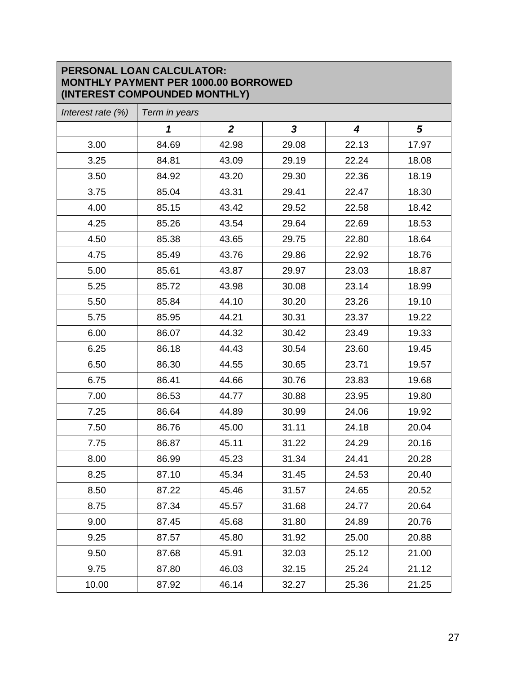#### **PERSONAL LOAN CALCULATOR: MONTHLY PAYMENT PER 1000.00 BORROWED (INTEREST COMPOUNDED MONTHLY)**

| Interest rate $(\%)$ | Term in years              |                  |              |                  |            |  |  |
|----------------------|----------------------------|------------------|--------------|------------------|------------|--|--|
|                      | $\boldsymbol{\mathcal{L}}$ | $\boldsymbol{2}$ | $\mathbf{3}$ | $\boldsymbol{4}$ | $\sqrt{5}$ |  |  |
| 3.00                 | 84.69                      | 42.98            | 29.08        | 22.13            | 17.97      |  |  |
| 3.25                 | 84.81                      | 43.09            | 29.19        | 22.24            | 18.08      |  |  |
| 3.50                 | 84.92                      | 43.20            | 29.30        | 22.36            | 18.19      |  |  |
| 3.75                 | 85.04                      | 43.31            | 29.41        | 22.47            | 18.30      |  |  |
| 4.00                 | 85.15                      | 43.42            | 29.52        | 22.58            | 18.42      |  |  |
| 4.25                 | 85.26                      | 43.54            | 29.64        | 22.69            | 18.53      |  |  |
| 4.50                 | 85.38                      | 43.65            | 29.75        | 22.80            | 18.64      |  |  |
| 4.75                 | 85.49                      | 43.76            | 29.86        | 22.92            | 18.76      |  |  |
| 5.00                 | 85.61                      | 43.87            | 29.97        | 23.03            | 18.87      |  |  |
| 5.25                 | 85.72                      | 43.98            | 30.08        | 23.14            | 18.99      |  |  |
| 5.50                 | 85.84                      | 44.10            | 30.20        | 23.26            | 19.10      |  |  |
| 5.75                 | 85.95                      | 44.21            | 30.31        | 23.37            | 19.22      |  |  |
| 6.00                 | 86.07                      | 44.32            | 30.42        | 23.49            | 19.33      |  |  |
| 6.25                 | 86.18                      | 44.43            | 30.54        | 23.60            | 19.45      |  |  |
| 6.50                 | 86.30                      | 44.55            | 30.65        | 23.71            | 19.57      |  |  |
| 6.75                 | 86.41                      | 44.66            | 30.76        | 23.83            | 19.68      |  |  |
| 7.00                 | 86.53                      | 44.77            | 30.88        | 23.95            | 19.80      |  |  |
| 7.25                 | 86.64                      | 44.89            | 30.99        | 24.06            | 19.92      |  |  |
| 7.50                 | 86.76                      | 45.00            | 31.11        | 24.18            | 20.04      |  |  |
| 7.75                 | 86.87                      | 45.11            | 31.22        | 24.29            | 20.16      |  |  |
| 8.00                 | 86.99                      | 45.23            | 31.34        | 24.41            | 20.28      |  |  |
| 8.25                 | 87.10                      | 45.34            | 31.45        | 24.53            | 20.40      |  |  |
| 8.50                 | 87.22                      | 45.46            | 31.57        | 24.65            | 20.52      |  |  |
| 8.75                 | 87.34                      | 45.57            | 31.68        | 24.77            | 20.64      |  |  |
| 9.00                 | 87.45                      | 45.68            | 31.80        | 24.89            | 20.76      |  |  |
| 9.25                 | 87.57                      | 45.80            | 31.92        | 25.00            | 20.88      |  |  |
| 9.50                 | 87.68                      | 45.91            | 32.03        | 25.12            | 21.00      |  |  |
| 9.75                 | 87.80                      | 46.03            | 32.15        | 25.24            | 21.12      |  |  |
| 10.00                | 87.92                      | 46.14            | 32.27        | 25.36            | 21.25      |  |  |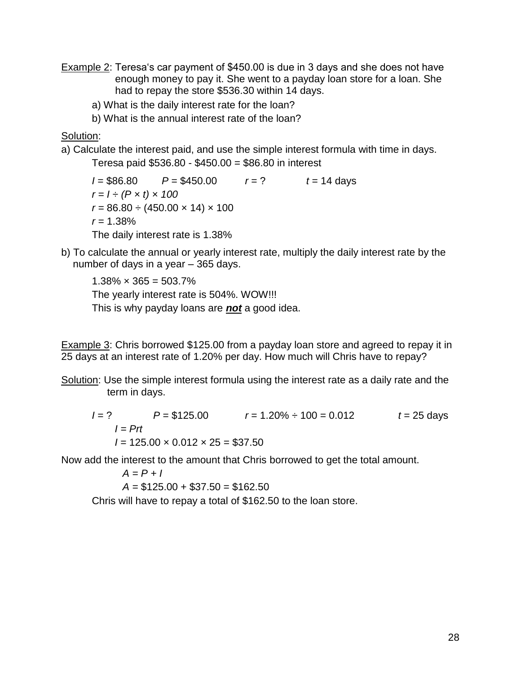- Example 2: Teresa's car payment of \$450.00 is due in 3 days and she does not have enough money to pay it. She went to a payday loan store for a loan. She had to repay the store \$536.30 within 14 days.
	- a) What is the daily interest rate for the loan?
	- b) What is the annual interest rate of the loan?

Solution:

a) Calculate the interest paid, and use the simple interest formula with time in days.

Teresa paid \$536.80 - \$450.00 = \$86.80 in interest

 $I = $86.80$   $P = $450.00$   $r = ?$   $t = 14$  days  $r = 1 \div (P \times t) \times 100$  $r = 86.80 \div (450.00 \times 14) \times 100$ *r =* 1.38% The daily interest rate is 1.38%

b) To calculate the annual or yearly interest rate, multiply the daily interest rate by the number of days in a year – 365 days.

 $1.38\% \times 365 = 503.7\%$ The yearly interest rate is 504%. WOW!!! This is why payday loans are *not* a good idea.

Example 3: Chris borrowed \$125.00 from a payday loan store and agreed to repay it in 25 days at an interest rate of 1.20% per day. How much will Chris have to repay?

Solution: Use the simple interest formula using the interest rate as a daily rate and the term in days.

*I* = ? *P* = \$125.00 *r* = 1.20% ÷ 100 = 0.012 *t* = 25 days  $I = Prt$  $I = 125.00 \times 0.012 \times 25 = $37.50$ 

Now add the interest to the amount that Chris borrowed to get the total amount.

*A = P + I*

*A =* \$125.00 + \$37.50 = \$162.50

Chris will have to repay a total of \$162.50 to the loan store.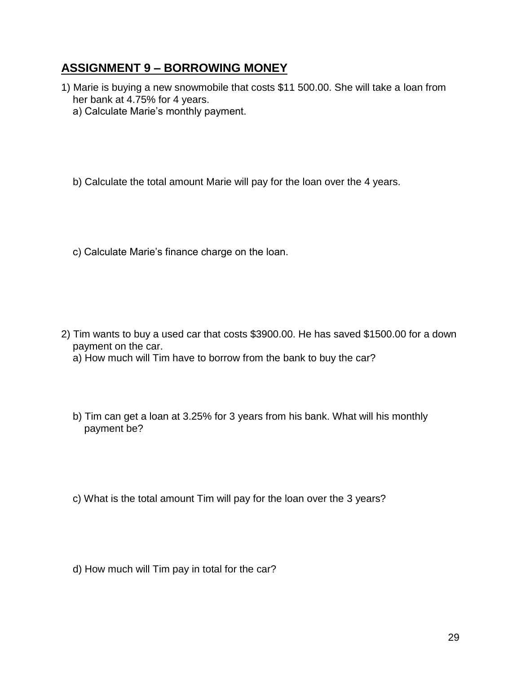#### **ASSIGNMENT 9 – BORROWING MONEY**

- 1) Marie is buying a new snowmobile that costs \$11 500.00. She will take a loan from her bank at 4.75% for 4 years.
	- a) Calculate Marie's monthly payment.

b) Calculate the total amount Marie will pay for the loan over the 4 years.

c) Calculate Marie's finance charge on the loan.

- 2) Tim wants to buy a used car that costs \$3900.00. He has saved \$1500.00 for a down payment on the car.
	- a) How much will Tim have to borrow from the bank to buy the car?
	- b) Tim can get a loan at 3.25% for 3 years from his bank. What will his monthly payment be?
	- c) What is the total amount Tim will pay for the loan over the 3 years?
	- d) How much will Tim pay in total for the car?